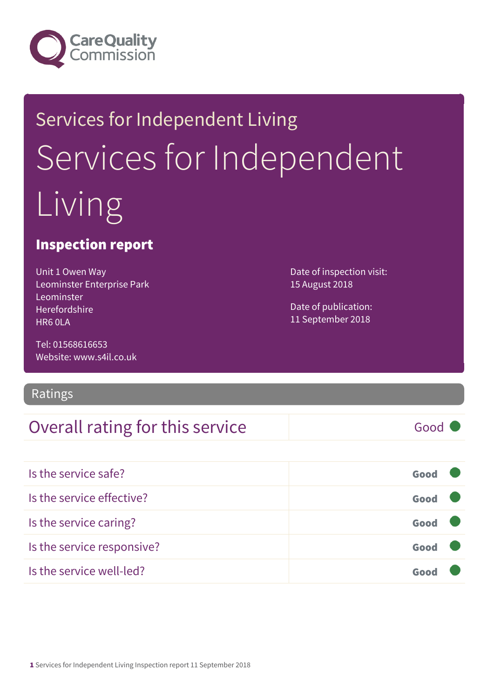

# Services for Independent Living Services for Independent Living

#### Inspection report

Unit 1 Owen Way Leominster Enterprise Park Leominster Herefordshire HR6 0LA

Tel: 01568616653 Website: www.s4il.co.uk

#### Ratings

#### Overall rating for this service Fig. 600 Good

Date of inspection visit: 15 August 2018

Date of publication: 11 September 2018

| Is the service safe?       | Good |  |
|----------------------------|------|--|
| Is the service effective?  | Good |  |
| Is the service caring?     | Good |  |
| Is the service responsive? | Good |  |
| Is the service well-led?   | Goor |  |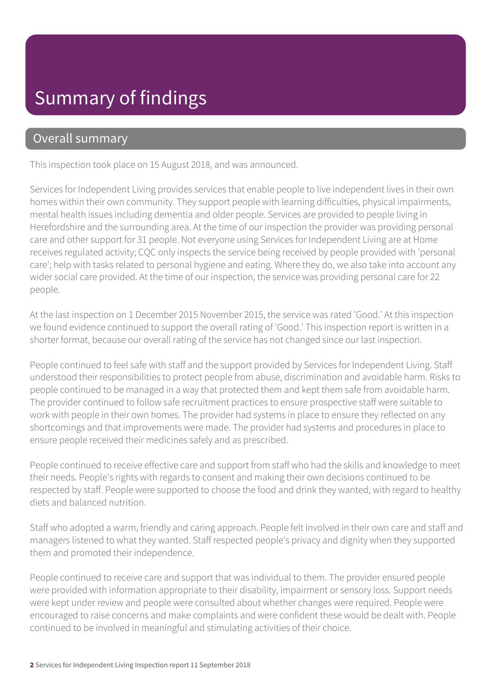## Summary of findings

#### Overall summary

This inspection took place on 15 August 2018, and was announced.

Services for Independent Living provides services that enable people to live independent lives in their own homes within their own community. They support people with learning difficulties, physical impairments, mental health issues including dementia and older people. Services are provided to people living in Herefordshire and the surrounding area. At the time of our inspection the provider was providing personal care and other support for 31 people. Not everyone using Services for Independent Living are at Home receives regulated activity; CQC only inspects the service being received by people provided with 'personal care'; help with tasks related to personal hygiene and eating. Where they do, we also take into account any wider social care provided. At the time of our inspection, the service was providing personal care for 22 people.

At the last inspection on 1 December 2015 November 2015, the service was rated 'Good.' At this inspection we found evidence continued to support the overall rating of 'Good.' This inspection report is written in a shorter format, because our overall rating of the service has not changed since our last inspection.

People continued to feel safe with staff and the support provided by Services for Independent Living. Staff understood their responsibilities to protect people from abuse, discrimination and avoidable harm. Risks to people continued to be managed in a way that protected them and kept them safe from avoidable harm. The provider continued to follow safe recruitment practices to ensure prospective staff were suitable to work with people in their own homes. The provider had systems in place to ensure they reflected on any shortcomings and that improvements were made. The provider had systems and procedures in place to ensure people received their medicines safely and as prescribed.

People continued to receive effective care and support from staff who had the skills and knowledge to meet their needs. People's rights with regards to consent and making their own decisions continued to be respected by staff. People were supported to choose the food and drink they wanted, with regard to healthy diets and balanced nutrition.

Staff who adopted a warm, friendly and caring approach. People felt involved in their own care and staff and managers listened to what they wanted. Staff respected people's privacy and dignity when they supported them and promoted their independence.

People continued to receive care and support that was individual to them. The provider ensured people were provided with information appropriate to their disability, impairment or sensory loss. Support needs were kept under review and people were consulted about whether changes were required. People were encouraged to raise concerns and make complaints and were confident these would be dealt with. People continued to be involved in meaningful and stimulating activities of their choice.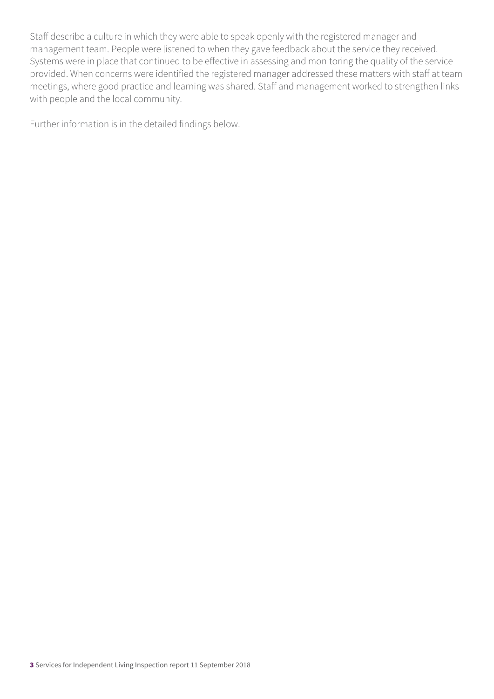Staff describe a culture in which they were able to speak openly with the registered manager and management team. People were listened to when they gave feedback about the service they received. Systems were in place that continued to be effective in assessing and monitoring the quality of the service provided. When concerns were identified the registered manager addressed these matters with staff at team meetings, where good practice and learning was shared. Staff and management worked to strengthen links with people and the local community.

Further information is in the detailed findings below.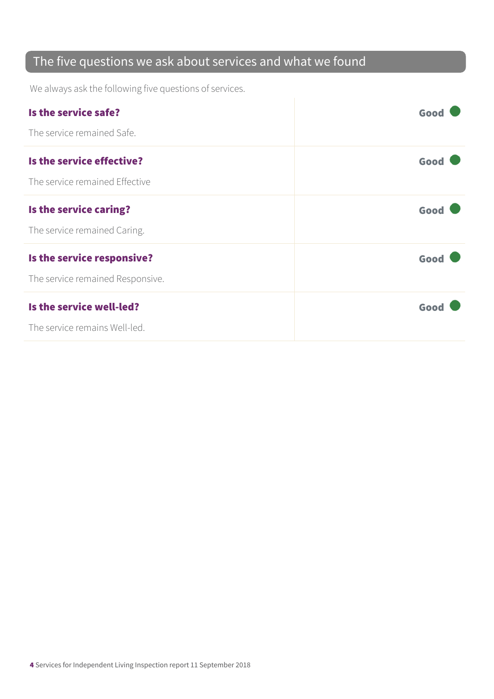#### The five questions we ask about services and what we found

We always ask the following five questions of services.

| Is the service safe?             | Good |
|----------------------------------|------|
| The service remained Safe.       |      |
| Is the service effective?        | Good |
| The service remained Effective   |      |
| Is the service caring?           | Good |
| The service remained Caring.     |      |
| Is the service responsive?       | Good |
| The service remained Responsive. |      |
| Is the service well-led?         | Good |
| The service remains Well-led.    |      |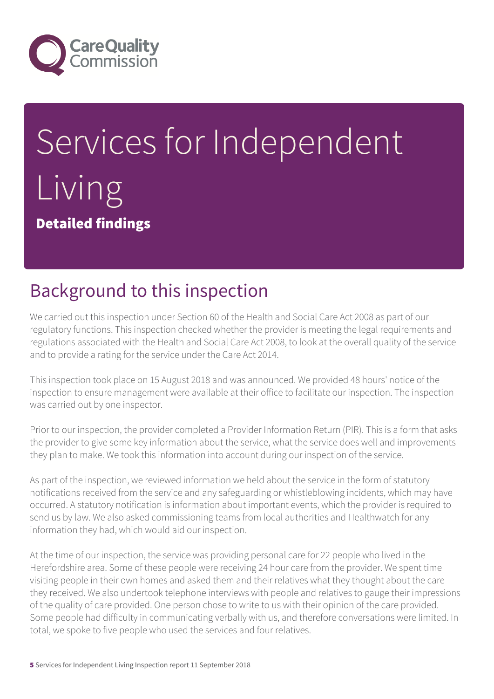

# Services for Independent Living Detailed findings

# Background to this inspection

We carried out this inspection under Section 60 of the Health and Social Care Act 2008 as part of our regulatory functions. This inspection checked whether the provider is meeting the legal requirements and regulations associated with the Health and Social Care Act 2008, to look at the overall quality of the service and to provide a rating for the service under the Care Act 2014.

This inspection took place on 15 August 2018 and was announced. We provided 48 hours' notice of the inspection to ensure management were available at their office to facilitate our inspection. The inspection was carried out by one inspector.

Prior to our inspection, the provider completed a Provider Information Return (PIR). This is a form that asks the provider to give some key information about the service, what the service does well and improvements they plan to make. We took this information into account during our inspection of the service.

As part of the inspection, we reviewed information we held about the service in the form of statutory notifications received from the service and any safeguarding or whistleblowing incidents, which may have occurred. A statutory notification is information about important events, which the provider is required to send us by law. We also asked commissioning teams from local authorities and Healthwatch for any information they had, which would aid our inspection.

At the time of our inspection, the service was providing personal care for 22 people who lived in the Herefordshire area. Some of these people were receiving 24 hour care from the provider. We spent time visiting people in their own homes and asked them and their relatives what they thought about the care they received. We also undertook telephone interviews with people and relatives to gauge their impressions of the quality of care provided. One person chose to write to us with their opinion of the care provided. Some people had difficulty in communicating verbally with us, and therefore conversations were limited. In total, we spoke to five people who used the services and four relatives.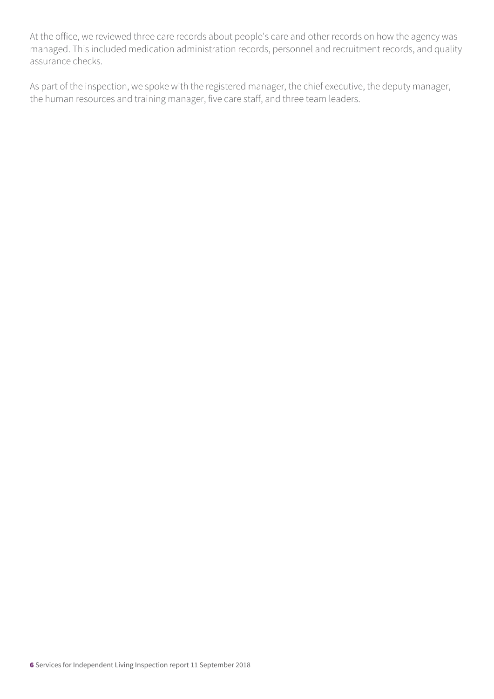At the office, we reviewed three care records about people's care and other records on how the agency was managed. This included medication administration records, personnel and recruitment records, and quality assurance checks.

As part of the inspection, we spoke with the registered manager, the chief executive, the deputy manager, the human resources and training manager, five care staff, and three team leaders.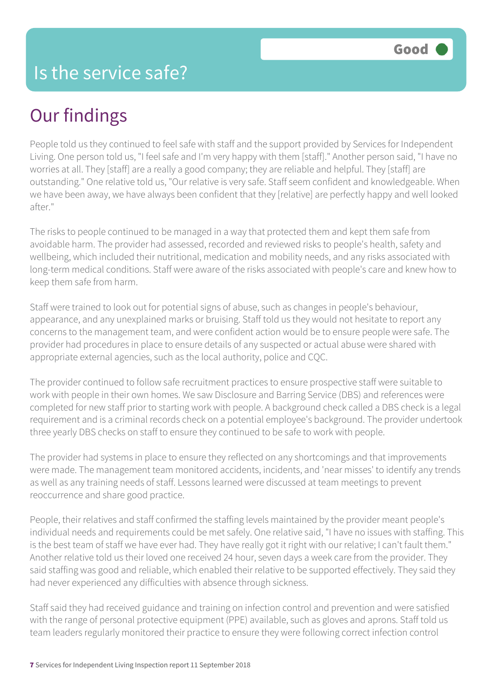## Our findings

People told us they continued to feel safe with staff and the support provided by Services for Independent Living. One person told us, "I feel safe and I'm very happy with them [staff]." Another person said, "I have no worries at all. They [staff] are a really a good company; they are reliable and helpful. They [staff] are outstanding." One relative told us, "Our relative is very safe. Staff seem confident and knowledgeable. When we have been away, we have always been confident that they [relative] are perfectly happy and well looked after."

The risks to people continued to be managed in a way that protected them and kept them safe from avoidable harm. The provider had assessed, recorded and reviewed risks to people's health, safety and wellbeing, which included their nutritional, medication and mobility needs, and any risks associated with long-term medical conditions. Staff were aware of the risks associated with people's care and knew how to keep them safe from harm.

Staff were trained to look out for potential signs of abuse, such as changes in people's behaviour, appearance, and any unexplained marks or bruising. Staff told us they would not hesitate to report any concerns to the management team, and were confident action would be to ensure people were safe. The provider had procedures in place to ensure details of any suspected or actual abuse were shared with appropriate external agencies, such as the local authority, police and CQC.

The provider continued to follow safe recruitment practices to ensure prospective staff were suitable to work with people in their own homes. We saw Disclosure and Barring Service (DBS) and references were completed for new staff prior to starting work with people. A background check called a DBS check is a legal requirement and is a criminal records check on a potential employee's background. The provider undertook three yearly DBS checks on staff to ensure they continued to be safe to work with people.

The provider had systems in place to ensure they reflected on any shortcomings and that improvements were made. The management team monitored accidents, incidents, and 'near misses' to identify any trends as well as any training needs of staff. Lessons learned were discussed at team meetings to prevent reoccurrence and share good practice.

People, their relatives and staff confirmed the staffing levels maintained by the provider meant people's individual needs and requirements could be met safely. One relative said, "I have no issues with staffing. This is the best team of staff we have ever had. They have really got it right with our relative; I can't fault them." Another relative told us their loved one received 24 hour, seven days a week care from the provider. They said staffing was good and reliable, which enabled their relative to be supported effectively. They said they had never experienced any difficulties with absence through sickness.

Staff said they had received guidance and training on infection control and prevention and were satisfied with the range of personal protective equipment (PPE) available, such as gloves and aprons. Staff told us team leaders regularly monitored their practice to ensure they were following correct infection control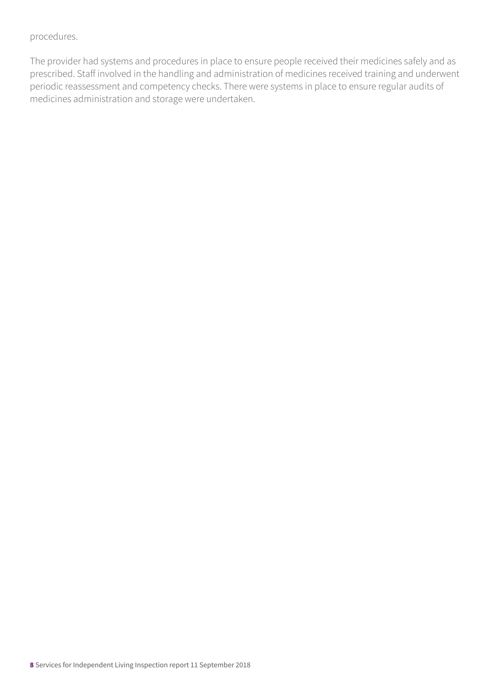#### procedures.

The provider had systems and procedures in place to ensure people received their medicines safely and as prescribed. Staff involved in the handling and administration of medicines received training and underwent periodic reassessment and competency checks. There were systems in place to ensure regular audits of medicines administration and storage were undertaken.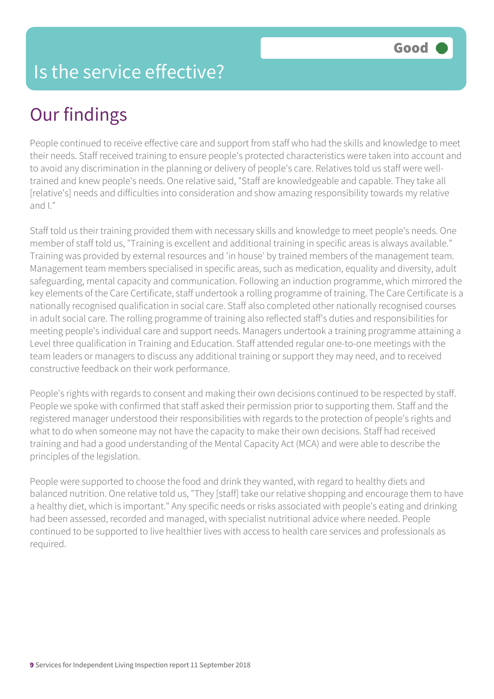### Is the service effective?

# Our findings

People continued to receive effective care and support from staff who had the skills and knowledge to meet their needs. Staff received training to ensure people's protected characteristics were taken into account and to avoid any discrimination in the planning or delivery of people's care. Relatives told us staff were welltrained and knew people's needs. One relative said, "Staff are knowledgeable and capable. They take all [relative's] needs and difficulties into consideration and show amazing responsibility towards my relative and I."

Staff told us their training provided them with necessary skills and knowledge to meet people's needs. One member of staff told us, "Training is excellent and additional training in specific areas is always available." Training was provided by external resources and 'in house' by trained members of the management team. Management team members specialised in specific areas, such as medication, equality and diversity, adult safeguarding, mental capacity and communication. Following an induction programme, which mirrored the key elements of the Care Certificate, staff undertook a rolling programme of training. The Care Certificate is a nationally recognised qualification in social care. Staff also completed other nationally recognised courses in adult social care. The rolling programme of training also reflected staff's duties and responsibilities for meeting people's individual care and support needs. Managers undertook a training programme attaining a Level three qualification in Training and Education. Staff attended regular one-to-one meetings with the team leaders or managers to discuss any additional training or support they may need, and to received constructive feedback on their work performance.

People's rights with regards to consent and making their own decisions continued to be respected by staff. People we spoke with confirmed that staff asked their permission prior to supporting them. Staff and the registered manager understood their responsibilities with regards to the protection of people's rights and what to do when someone may not have the capacity to make their own decisions. Staff had received training and had a good understanding of the Mental Capacity Act (MCA) and were able to describe the principles of the legislation.

People were supported to choose the food and drink they wanted, with regard to healthy diets and balanced nutrition. One relative told us, "They [staff] take our relative shopping and encourage them to have a healthy diet, which is important." Any specific needs or risks associated with people's eating and drinking had been assessed, recorded and managed, with specialist nutritional advice where needed. People continued to be supported to live healthier lives with access to health care services and professionals as required.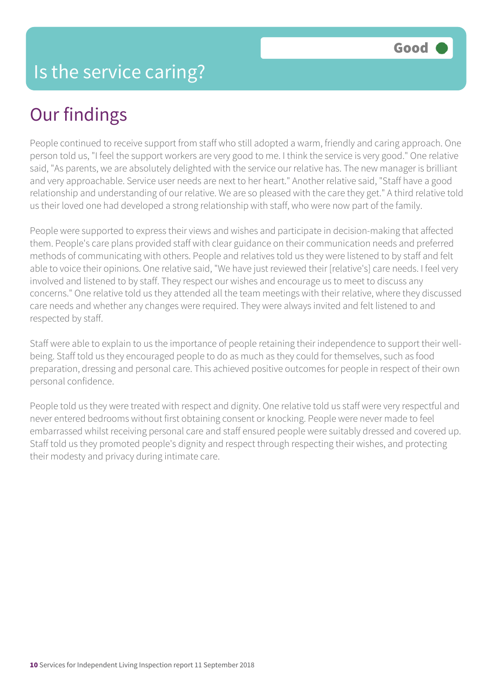# Our findings

People continued to receive support from staff who still adopted a warm, friendly and caring approach. One person told us, "I feel the support workers are very good to me. I think the service is very good." One relative said, "As parents, we are absolutely delighted with the service our relative has. The new manager is brilliant and very approachable. Service user needs are next to her heart." Another relative said, "Staff have a good relationship and understanding of our relative. We are so pleased with the care they get." A third relative told us their loved one had developed a strong relationship with staff, who were now part of the family.

People were supported to express their views and wishes and participate in decision-making that affected them. People's care plans provided staff with clear guidance on their communication needs and preferred methods of communicating with others. People and relatives told us they were listened to by staff and felt able to voice their opinions. One relative said, "We have just reviewed their [relative's] care needs. I feel very involved and listened to by staff. They respect our wishes and encourage us to meet to discuss any concerns." One relative told us they attended all the team meetings with their relative, where they discussed care needs and whether any changes were required. They were always invited and felt listened to and respected by staff.

Staff were able to explain to us the importance of people retaining their independence to support their wellbeing. Staff told us they encouraged people to do as much as they could for themselves, such as food preparation, dressing and personal care. This achieved positive outcomes for people in respect of their own personal confidence.

People told us they were treated with respect and dignity. One relative told us staff were very respectful and never entered bedrooms without first obtaining consent or knocking. People were never made to feel embarrassed whilst receiving personal care and staff ensured people were suitably dressed and covered up. Staff told us they promoted people's dignity and respect through respecting their wishes, and protecting their modesty and privacy during intimate care.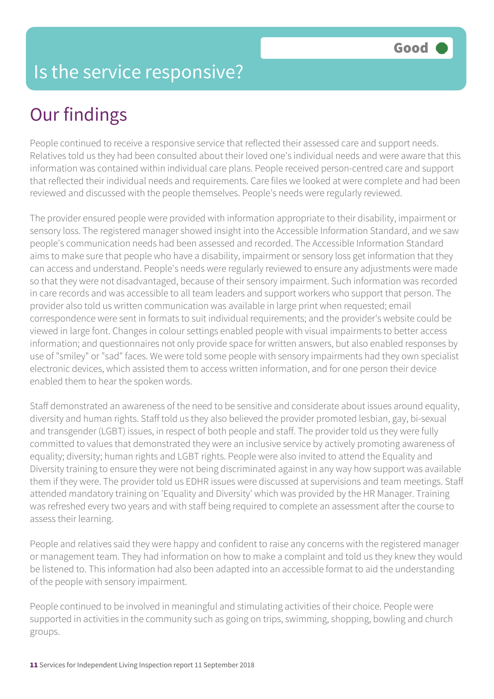### Is the service responsive?

# Our findings

People continued to receive a responsive service that reflected their assessed care and support needs. Relatives told us they had been consulted about their loved one's individual needs and were aware that this information was contained within individual care plans. People received person-centred care and support that reflected their individual needs and requirements. Care files we looked at were complete and had been reviewed and discussed with the people themselves. People's needs were regularly reviewed.

The provider ensured people were provided with information appropriate to their disability, impairment or sensory loss. The registered manager showed insight into the Accessible Information Standard, and we saw people's communication needs had been assessed and recorded. The Accessible Information Standard aims to make sure that people who have a disability, impairment or sensory loss get information that they can access and understand. People's needs were regularly reviewed to ensure any adjustments were made so that they were not disadvantaged, because of their sensory impairment. Such information was recorded in care records and was accessible to all team leaders and support workers who support that person. The provider also told us written communication was available in large print when requested; email correspondence were sent in formats to suit individual requirements; and the provider's website could be viewed in large font. Changes in colour settings enabled people with visual impairments to better access information; and questionnaires not only provide space for written answers, but also enabled responses by use of "smiley" or "sad" faces. We were told some people with sensory impairments had they own specialist electronic devices, which assisted them to access written information, and for one person their device enabled them to hear the spoken words.

Staff demonstrated an awareness of the need to be sensitive and considerate about issues around equality, diversity and human rights. Staff told us they also believed the provider promoted lesbian, gay, bi-sexual and transgender (LGBT) issues, in respect of both people and staff. The provider told us they were fully committed to values that demonstrated they were an inclusive service by actively promoting awareness of equality; diversity; human rights and LGBT rights. People were also invited to attend the Equality and Diversity training to ensure they were not being discriminated against in any way how support was available them if they were. The provider told us EDHR issues were discussed at supervisions and team meetings. Staff attended mandatory training on 'Equality and Diversity' which was provided by the HR Manager. Training was refreshed every two years and with staff being required to complete an assessment after the course to assess their learning.

People and relatives said they were happy and confident to raise any concerns with the registered manager or management team. They had information on how to make a complaint and told us they knew they would be listened to. This information had also been adapted into an accessible format to aid the understanding of the people with sensory impairment.

People continued to be involved in meaningful and stimulating activities of their choice. People were supported in activities in the community such as going on trips, swimming, shopping, bowling and church groups.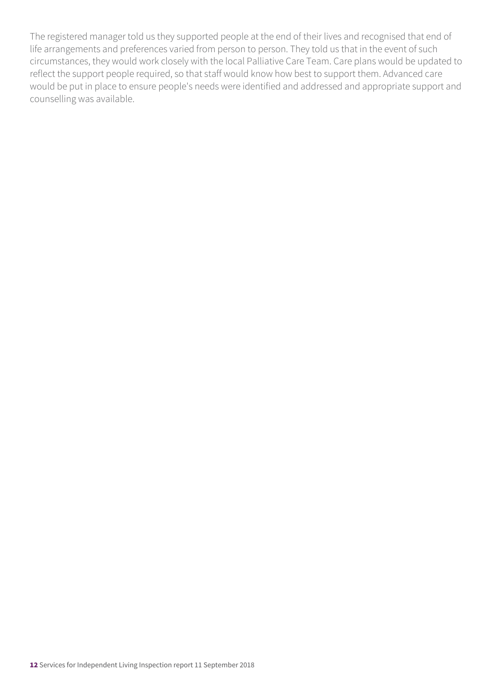The registered manager told us they supported people at the end of their lives and recognised that end of life arrangements and preferences varied from person to person. They told us that in the event of such circumstances, they would work closely with the local Palliative Care Team. Care plans would be updated to reflect the support people required, so that staff would know how best to support them. Advanced care would be put in place to ensure people's needs were identified and addressed and appropriate support and counselling was available.